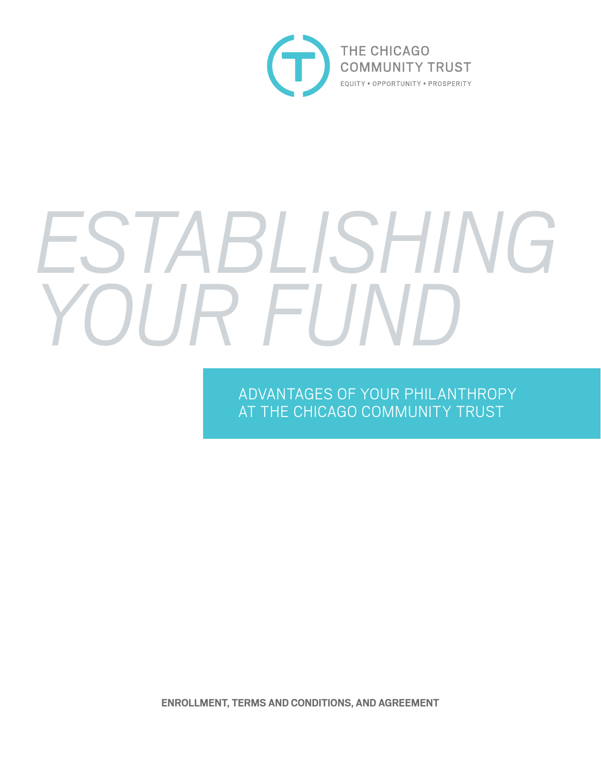

# *ESTABLISHING YOUR FUND*

ADVANTAGES OF YOUR PHILANTHROPY AT THE CHICAGO COMMUNITY TRUST

**ENROLLMENT, TERMS AND CONDITIONS, AND AGREEMENT**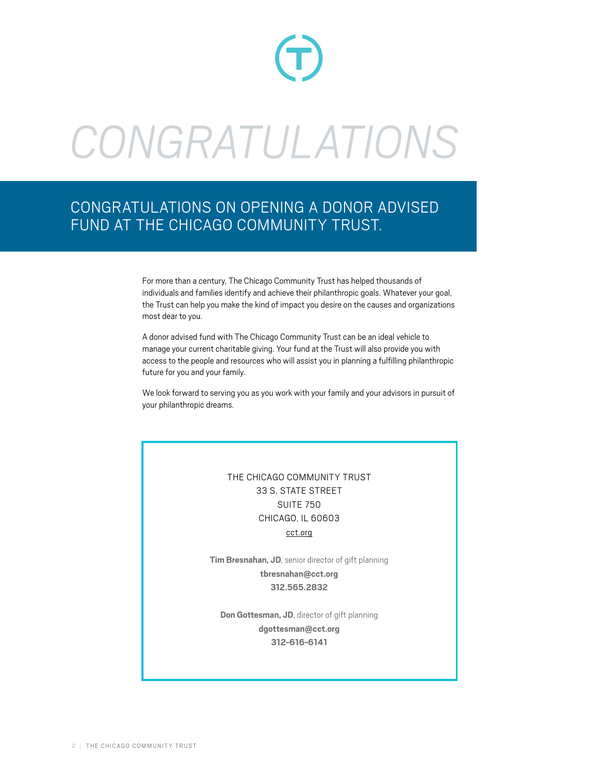

# *CONGRATULATIONS*

# CONGRATULATIONS ON OPENING A DONOR ADVISED FUND AT THE CHICAGO COMMUNITY TRUST.

For more than a century, The Chicago Community Trust has helped thousands of individuals and families identify and achieve their philanthropic goals. Whatever your goal, the Trust can help you make the kind of impact you desire on the causes and organizations most dear to you.

A donor advised fund with The Chicago Community Trust can be an ideal vehicle to manage your current charitable giving. Your fund at the Trust will also provide you with access to the people and resources who will assist you in planning a fulfilling philanthropic future for you and your family.

We look forward to serving you as you work with your family and your advisors in pursuit of your philanthropic dreams.

> THE CHICAGO COMMUNITY TRUST 33 S. STATE STREET SUITE 750 CHICAGO, IL 60603 [cct.org](http://cct.org)

**Tim Bresnahan, JD**, senior director of gift planning **[tbresnahan@cct.org](mailto:tbresnahan%40cct.org?subject=) 312.565.2832**

**Don Gottesman, JD**, director of gift planning **[dgottesman@cct.org](mailto:dgottesman%40cct.org?subject=) 312-616-6141**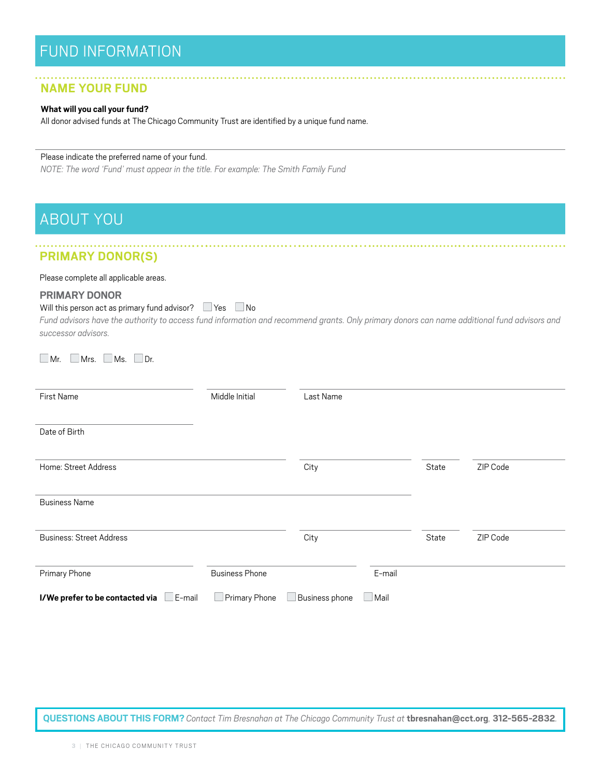#### **NAME YOUR FUND**

#### **What will you call your fund?**

All donor advised funds at The Chicago Community Trust are identified by a unique fund name.

#### Please indicate the preferred name of your fund.

*NOTE: The word 'Fund' must appear in the title. For example: The Smith Family Fund*

# ABOUT YOU

## **PRIMARY DONOR(S)**

Please complete all applicable areas.

#### **PRIMARY DONOR**

#### Will this person act as primary fund advisor?  $\Box$  Yes  $\Box$  No

*Fund advisors have the authority to access fund information and recommend grants. Only primary donors can name additional fund advisors and successor advisors.*

 $\Box$  Mr.  $\Box$  Mrs.  $\Box$  Ms.  $\Box$  Dr.

| First Name                                       | Middle Initial        | Last Name      |        |       |          |
|--------------------------------------------------|-----------------------|----------------|--------|-------|----------|
| Date of Birth                                    |                       |                |        |       |          |
| Home: Street Address                             |                       | City           |        | State | ZIP Code |
| <b>Business Name</b>                             |                       |                |        |       |          |
| <b>Business: Street Address</b>                  |                       | City           |        | State | ZIP Code |
| Primary Phone                                    | <b>Business Phone</b> |                | E-mail |       |          |
| $\Box$ E-mail<br>I/We prefer to be contacted via | Primary Phone         | Business phone | Mail   |       |          |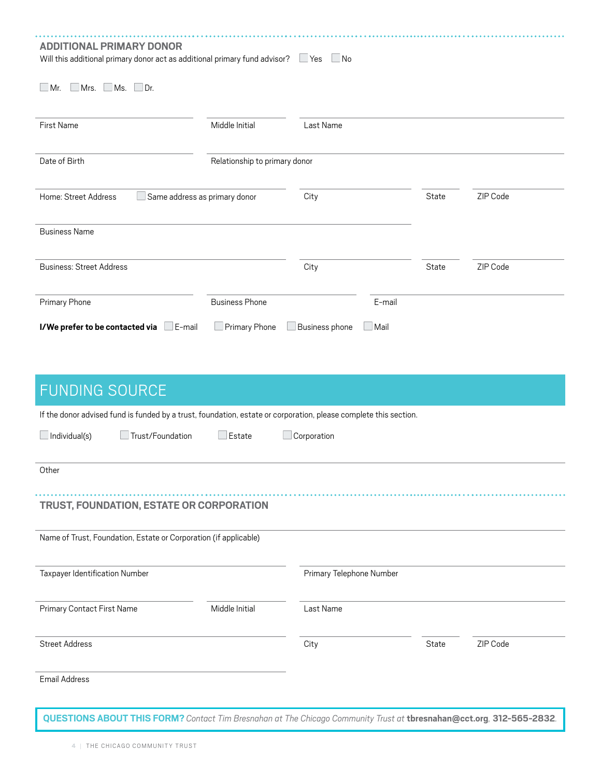| <b>ADDITIONAL PRIMARY DONOR</b><br>Will this additional primary donor act as additional primary fund advisor? Ves No |                               |                          |             |              |          |
|----------------------------------------------------------------------------------------------------------------------|-------------------------------|--------------------------|-------------|--------------|----------|
| $\Box$ Mr. $\Box$ Mrs. $\Box$ Ms. $\Box$ Dr.                                                                         |                               |                          |             |              |          |
| <b>First Name</b>                                                                                                    | Middle Initial                | Last Name                |             |              |          |
| Date of Birth                                                                                                        | Relationship to primary donor |                          |             |              |          |
| Home: Street Address<br>$\Box$ Same address as primary donor                                                         |                               | City                     |             | <b>State</b> | ZIP Code |
| <b>Business Name</b>                                                                                                 |                               |                          |             |              |          |
| <b>Business: Street Address</b>                                                                                      |                               | City                     |             | <b>State</b> | ZIP Code |
| Primary Phone                                                                                                        | <b>Business Phone</b>         |                          | E-mail      |              |          |
| I/We prefer to be contacted via E-mail                                                                               | Primary Phone                 | Business phone           | $\Box$ Mail |              |          |
| <b>FUNDING SOURCE</b>                                                                                                |                               |                          |             |              |          |
| If the donor advised fund is funded by a trust, foundation, estate or corporation, please complete this section.     |                               |                          |             |              |          |
| Trust/Foundation<br>$\Box$ Individual(s)                                                                             | $\Box$ Estate                 | Corporation              |             |              |          |
| Other                                                                                                                |                               |                          |             |              |          |
| TRUST, FOUNDATION, ESTATE OR CORPORATION                                                                             |                               |                          |             |              |          |
| Name of Trust, Foundation, Estate or Corporation (if applicable)                                                     |                               |                          |             |              |          |
| Taxpayer Identification Number                                                                                       |                               | Primary Telephone Number |             |              |          |
| Primary Contact First Name                                                                                           | Middle Initial                | Last Name                |             |              |          |
| <b>Street Address</b>                                                                                                |                               | City                     |             | State        | ZIP Code |

Email Address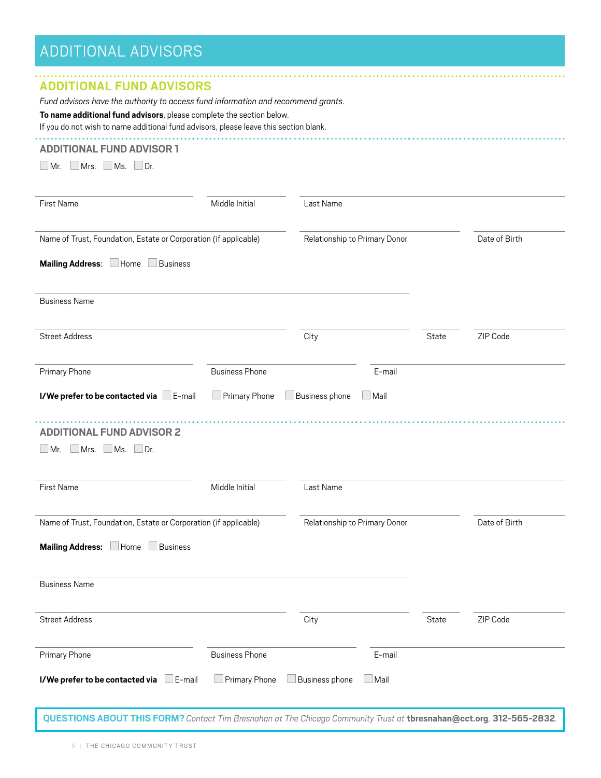# ADDITIONAL ADVISORS

| <b>ADDITIONAL FUND ADVISORS</b><br>Fund advisors have the authority to access fund information and recommend grants.<br>To name additional fund advisors, please complete the section below. |                       |                               |             |       |               |
|----------------------------------------------------------------------------------------------------------------------------------------------------------------------------------------------|-----------------------|-------------------------------|-------------|-------|---------------|
| If you do not wish to name additional fund advisors, please leave this section blank.                                                                                                        |                       |                               |             |       |               |
| <b>ADDITIONAL FUND ADVISOR 1</b>                                                                                                                                                             |                       |                               |             |       |               |
| $\Box$ Mr. $\Box$ Mrs. $\Box$ Ms. $\Box$ Dr.                                                                                                                                                 |                       |                               |             |       |               |
|                                                                                                                                                                                              |                       |                               |             |       |               |
| <b>First Name</b>                                                                                                                                                                            | Middle Initial        | Last Name                     |             |       |               |
|                                                                                                                                                                                              |                       |                               |             |       |               |
| Name of Trust, Foundation, Estate or Corporation (if applicable)                                                                                                                             |                       | Relationship to Primary Donor |             |       | Date of Birth |
| Mailing Address: Home<br>Business                                                                                                                                                            |                       |                               |             |       |               |
| <b>Business Name</b>                                                                                                                                                                         |                       |                               |             |       |               |
| <b>Street Address</b>                                                                                                                                                                        |                       | City                          |             | State | ZIP Code      |
| Primary Phone                                                                                                                                                                                | <b>Business Phone</b> |                               | E-mail      |       |               |
| I/We prefer to be contacted via E-mail                                                                                                                                                       | $\Box$ Primary Phone  | Business phone                | $\Box$ Mail |       |               |
| <b>ADDITIONAL FUND ADVISOR 2</b><br>$\Box$ Mrs. $\Box$ Ms. $\Box$ Dr.<br>$\Box$ Mr.                                                                                                          |                       |                               |             |       |               |
| <b>First Name</b>                                                                                                                                                                            | Middle Initial        | Last Name                     |             |       |               |
| Name of Trust, Foundation, Estate or Corporation (if applicable)                                                                                                                             |                       | Relationship to Primary Donor |             |       | Date of Birth |
| Mailing Address: Home<br>$\Box$ Business                                                                                                                                                     |                       |                               |             |       |               |
| <b>Business Name</b>                                                                                                                                                                         |                       |                               |             |       |               |
| <b>Street Address</b>                                                                                                                                                                        |                       | City                          |             | State | ZIP Code      |
| Primary Phone                                                                                                                                                                                | <b>Business Phone</b> |                               | E-mail      |       |               |
| I/We prefer to be contacted via E-mail                                                                                                                                                       | $\Box$ Primary Phone  | Business phone                | Mail        |       |               |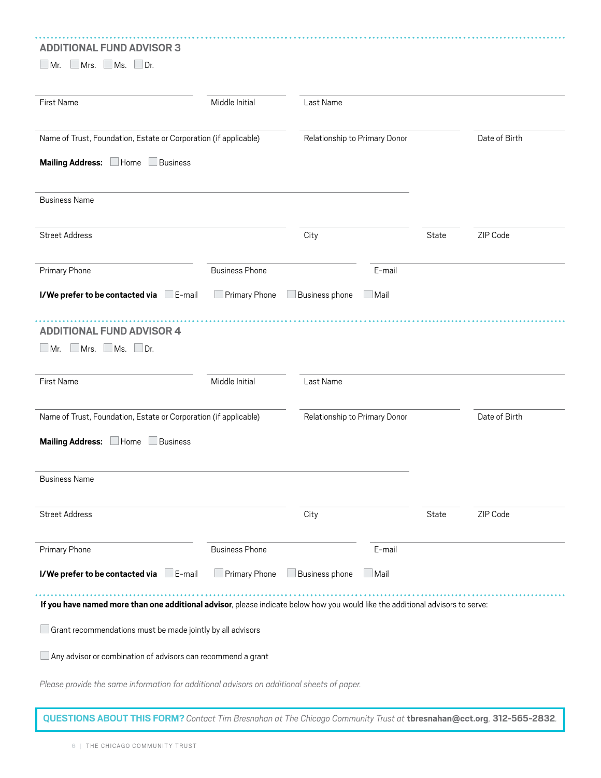| <b>ADDITIONAL FUND ADVISOR 3</b><br>$\Box$ Mr. $\Box$ Mrs. $\Box$ Ms. $\Box$ Dr.                                               |                       |                               |             |       |               |
|--------------------------------------------------------------------------------------------------------------------------------|-----------------------|-------------------------------|-------------|-------|---------------|
| <b>First Name</b>                                                                                                              | Middle Initial        | Last Name                     |             |       |               |
| Name of Trust, Foundation, Estate or Corporation (if applicable)                                                               |                       | Relationship to Primary Donor |             |       | Date of Birth |
| Mailing Address: Home<br>$\Box$ Business                                                                                       |                       |                               |             |       |               |
| <b>Business Name</b>                                                                                                           |                       |                               |             |       |               |
| <b>Street Address</b>                                                                                                          |                       | City                          |             | State | ZIP Code      |
| Primary Phone                                                                                                                  | <b>Business Phone</b> |                               | E-mail      |       |               |
| I/We prefer to be contacted via LE-mail                                                                                        | $\Box$ Primary Phone  | Business phone                | $\Box$ Mail |       |               |
| <b>ADDITIONAL FUND ADVISOR 4</b><br>Mr. Mrs. Ms. Dr.                                                                           |                       |                               |             |       |               |
| <b>First Name</b>                                                                                                              | Middle Initial        | Last Name                     |             |       |               |
| Name of Trust, Foundation, Estate or Corporation (if applicable)                                                               |                       | Relationship to Primary Donor |             |       | Date of Birth |
| <b>Mailing Address:</b><br>$\Box$ Home<br>Business                                                                             |                       |                               |             |       |               |
| <b>Business Name</b>                                                                                                           |                       |                               |             |       |               |
| <b>Street Address</b>                                                                                                          |                       | City                          |             | State | ZIP Code      |
| Primary Phone                                                                                                                  | <b>Business Phone</b> |                               | E-mail      |       |               |
| I/We prefer to be contacted via E-mail                                                                                         | $\Box$ Primary Phone  | Business phone                | $\Box$ Mail |       |               |
| If you have named more than one additional advisor, please indicate below how you would like the additional advisors to serve: |                       |                               |             |       |               |
| Grant recommendations must be made jointly by all advisors                                                                     |                       |                               |             |       |               |
| Any advisor or combination of advisors can recommend a grant                                                                   |                       |                               |             |       |               |
| Please provide the same information for additional advisors on additional sheets of paper.                                     |                       |                               |             |       |               |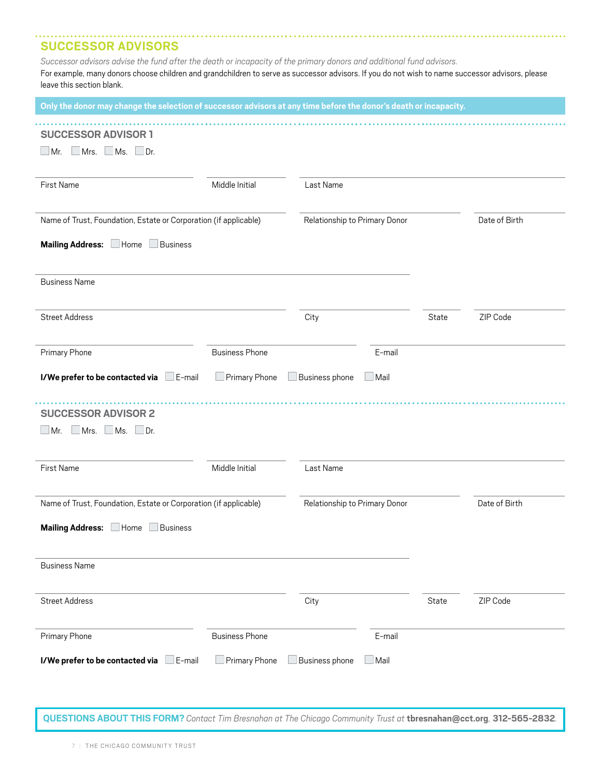#### **SUCCESSOR ADVISORS**

*Successor advisors advise the fund after the death or incapacity of the primary donors and additional fund advisors.* For example, many donors choose children and grandchildren to serve as successor advisors. If you do not wish to name successor advisors, please leave this section blank.

**Only the donor may change the selection of successor advisors at any time before the donor's death or incapacity.**

| $\Box$ Mr. $\Box$ Mrs. $\Box$ Ms. $\Box$ Dr.                                                                                                       |                       |                               |        |       |               |
|----------------------------------------------------------------------------------------------------------------------------------------------------|-----------------------|-------------------------------|--------|-------|---------------|
| First Name                                                                                                                                         | Middle Initial        | Last Name                     |        |       |               |
| Name of Trust, Foundation, Estate or Corporation (if applicable)                                                                                   |                       | Relationship to Primary Donor |        |       | Date of Birth |
| Mailing Address: Home<br>Business                                                                                                                  |                       |                               |        |       |               |
| <b>Business Name</b>                                                                                                                               |                       |                               |        |       |               |
| <b>Street Address</b>                                                                                                                              |                       | City                          |        | State | ZIP Code      |
|                                                                                                                                                    |                       |                               |        |       |               |
|                                                                                                                                                    | <b>Business Phone</b> |                               | E-mail |       |               |
| Primary Phone<br>I/We prefer to be contacted via<br>$\Box$ E-mail<br><b>SUCCESSOR ADVISOR 2</b><br>$\Box$ Mrs. $\Box$ Ms. $\Box$ Dr.<br>$\Box$ Mr. | Primary Phone         | Business phone                | Mail   |       |               |
|                                                                                                                                                    | Middle Initial        | Last Name                     |        |       |               |
|                                                                                                                                                    |                       | Relationship to Primary Donor |        |       | Date of Birth |
| First Name<br>Name of Trust, Foundation, Estate or Corporation (if applicable)<br><b>Mailing Address:</b><br>$\Box$ Home<br><b>Business</b>        |                       |                               |        |       |               |
| <b>Business Name</b>                                                                                                                               |                       |                               |        |       |               |
| <b>Street Address</b>                                                                                                                              |                       | City                          |        | State | ZIP Code      |
| Primary Phone                                                                                                                                      | <b>Business Phone</b> |                               | E-mail |       |               |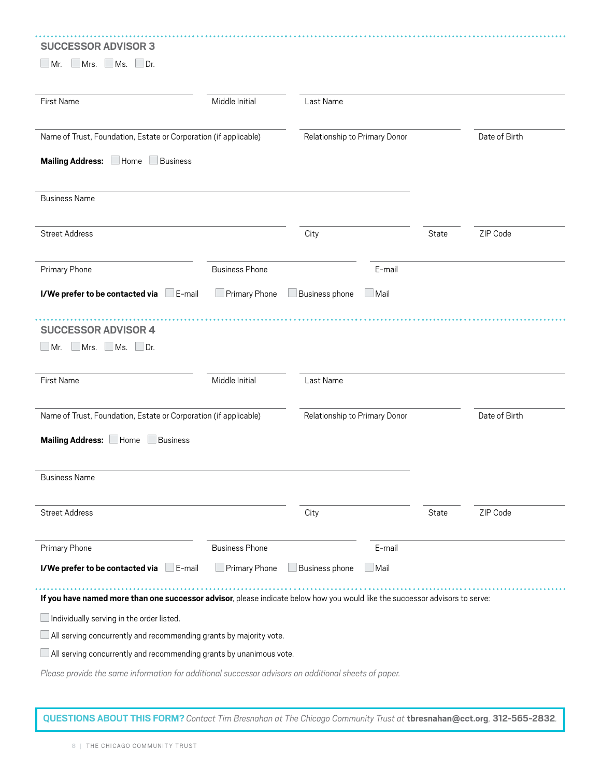| <b>SUCCESSOR ADVISOR 3</b>                                                                                                   |                       |                               |             |              |               |
|------------------------------------------------------------------------------------------------------------------------------|-----------------------|-------------------------------|-------------|--------------|---------------|
| $\Box$ Mrs. $\Box$ Ms. $\Box$ Dr.<br>$\Box$ Mr.                                                                              |                       |                               |             |              |               |
| First Name                                                                                                                   | Middle Initial        | Last Name                     |             |              |               |
| Name of Trust, Foundation, Estate or Corporation (if applicable)                                                             |                       | Relationship to Primary Donor |             |              | Date of Birth |
| Mailing Address: Home<br>Business                                                                                            |                       |                               |             |              |               |
| <b>Business Name</b>                                                                                                         |                       |                               |             |              |               |
| <b>Street Address</b>                                                                                                        |                       | City                          |             | <b>State</b> | ZIP Code      |
| Primary Phone                                                                                                                | <b>Business Phone</b> |                               | E-mail      |              |               |
| I/We prefer to be contacted via E-mail                                                                                       | $\Box$ Primary Phone  | Business phone                | $\Box$ Mail |              |               |
| <b>SUCCESSOR ADVISOR 4</b><br>$\Box$ Mr. $\Box$ Mrs. $\Box$ Ms. $\Box$ Dr.                                                   |                       |                               |             |              |               |
| First Name                                                                                                                   | Middle Initial        | Last Name                     |             |              |               |
| Name of Trust, Foundation, Estate or Corporation (if applicable)                                                             |                       | Relationship to Primary Donor |             |              | Date of Birth |
| Mailing Address: Home Business                                                                                               |                       |                               |             |              |               |
| <b>Business Name</b>                                                                                                         |                       |                               |             |              |               |
| <b>Street Address</b>                                                                                                        |                       | City                          |             | State        | ZIP Code      |
| Primary Phone                                                                                                                | <b>Business Phone</b> |                               | E-mail      |              |               |
| I/We prefer to be contacted via<br>$\Box$ E-mail                                                                             | Primary Phone         | Business phone                | $\Box$ Mail |              |               |
| If you have named more than one successor advisor, please indicate below how you would like the successor advisors to serve: |                       |                               |             |              |               |
| $\Box$ Individually serving in the order listed.                                                                             |                       |                               |             |              |               |
| All serving concurrently and recommending grants by majority vote.                                                           |                       |                               |             |              |               |
| All serving concurrently and recommending grants by unanimous vote.                                                          |                       |                               |             |              |               |
|                                                                                                                              |                       |                               |             |              |               |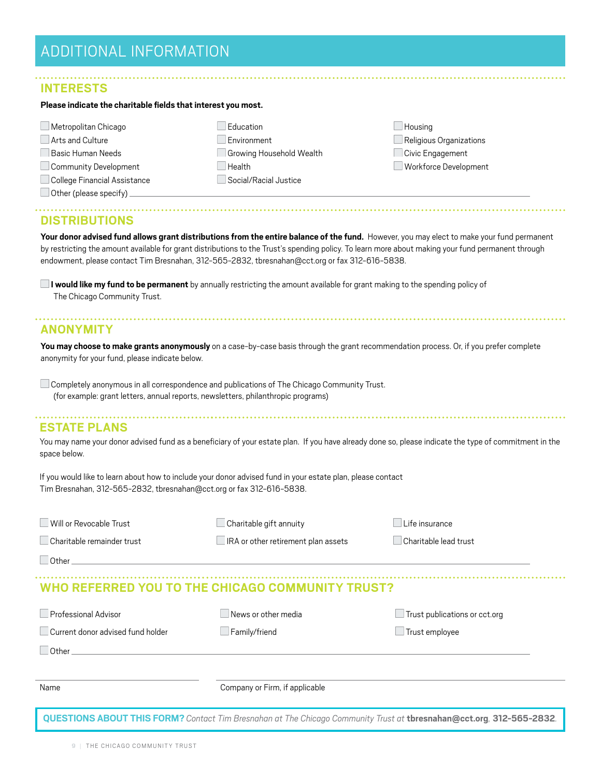#### **INTERESTS**

#### **Please indicate the charitable fields that interest you most.**

| Metropolitan Chicago         | Education                | $\Box$ Housing  |
|------------------------------|--------------------------|-----------------|
| Arts and Culture             | Environment              | $\Box$ Religiou |
| <b>Basic Human Needs</b>     | Growing Household Wealth | Civic En        |
| $\Box$ Community Development | Health                   | Workfor         |
| College Financial Assistance | Social/Racial Justice    |                 |
| Other (please specify).      |                          |                 |

 $\Box$  Religious Organizations **Basic Engagement**  $\Box$  Workforce Development

# **DISTRIBUTIONS**

Your donor advised fund allows grant distributions from the entire balance of the fund. However, you may elect to make your fund permanent by restricting the amount available for grant distributions to the Trust's spending policy. To learn more about making your fund permanent through endowment, please contact Tim Bresnahan, 312-565-2832, tbresnahan@cct.org or fax 312-616-5838.

**I would like my fund to be permanent** by annually restricting the amount available for grant making to the spending policy of The Chicago Community Trust.

#### **ANONYMITY**

You may choose to make grants anonymously on a case-by-case basis through the grant recommendation process. Or, if you prefer complete anonymity for your fund, please indicate below.

 Completely anonymous in all correspondence and publications of The Chicago Community Trust. (for example: grant letters, annual reports, newsletters, philanthropic programs)

#### **ESTATE PLANS**

You may name your donor advised fund as a beneficiary of your estate plan. If you have already done so, please indicate the type of commitment in the space below.

If you would like to learn about how to include your donor advised fund in your estate plan, please contact Tim Bresnahan, 312-565-2832, tbresnahan@cct.org or fax 312-616-5838.

| □ Will or Revocable Trust |  |
|---------------------------|--|
|                           |  |

■ Charitable gift annuity <br>■ Life insurance

■Charitable remainder trust IRA or other retirement plan assets Charitable lead trust

**Other** 

## **WHO REFERRED YOU TO THE CHICAGO COMMUNITY TRUST?**

| Professional Advisor              | $\,$ News or other media       | $\Box$ Trust publications or cct.org |
|-----------------------------------|--------------------------------|--------------------------------------|
| Current donor advised fund holder | Family/friend                  | $\Box$ Trust employee                |
| Other                             |                                |                                      |
|                                   |                                |                                      |
| Name                              | Company or Firm, if applicable |                                      |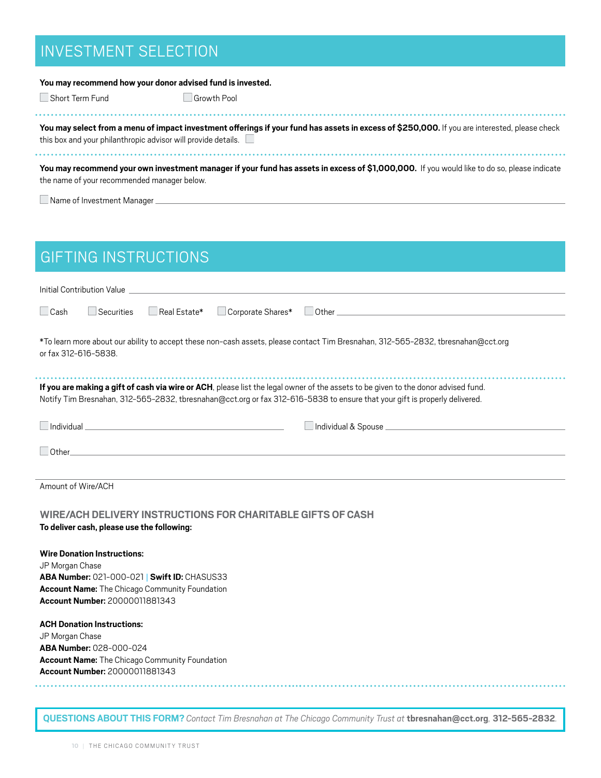# INVESTMENT SELECTION

#### **You may recommend how your donor advised fund is invested.**

Growth Pool

You may select from a menu of impact investment offerings if your fund has assets in excess of \$250,000. If you are interested, please check this box and your philanthropic advisor will provide details.

You may recommend your own investment manager if your fund has assets in excess of \$1,000,000. If you would like to do so, please indicate the name of your recommended manager below.

Name of Investment Manager

| <b>GIFTING INSTRUCTIONS</b>                                                                                                                                                                                                                                      |  |
|------------------------------------------------------------------------------------------------------------------------------------------------------------------------------------------------------------------------------------------------------------------|--|
| Initial Contribution Value<br>$\Box$ Cash<br>$\Box$ Real Estate*<br>$\Box$ Securities<br>Corporate Shares*                                                                                                                                                       |  |
| *To learn more about our ability to accept these non-cash assets, please contact Tim Bresnahan, 312-565-2832, tbresnahan@cct.org<br>or fax 312-616-5838.                                                                                                         |  |
| If you are making a gift of cash via wire or ACH, please list the legal owner of the assets to be given to the donor advised fund.<br>Notify Tim Bresnahan, 312-565-2832, tbresnahan@cct.org or fax 312-616-5838 to ensure that your gift is properly delivered. |  |
| <u>Individual</u>                                                                                                                                                                                                                                                |  |
| $\Box$ Other                                                                                                                                                                                                                                                     |  |
| Amount of Wire/ACH                                                                                                                                                                                                                                               |  |
| WIRE/ACH DELIVERY INSTRUCTIONS FOR CHARITABLE GIFTS OF CASH<br>To deliver cash, please use the following:                                                                                                                                                        |  |
| <b>Wire Donation Instructions:</b><br>JP Morgan Chase<br>ABA Number: 021-000-021   Swift ID: CHASUS33<br><b>Account Name:</b> The Chicago Community Foundation<br><b>Account Number: 20000011881343</b>                                                          |  |
| <b>ACH Donation Instructions:</b><br>JP Morgan Chase<br>ABA Number: 028-000-024<br>Account Name: The Chicago Community Foundation<br>Account Number: 20000011881343                                                                                              |  |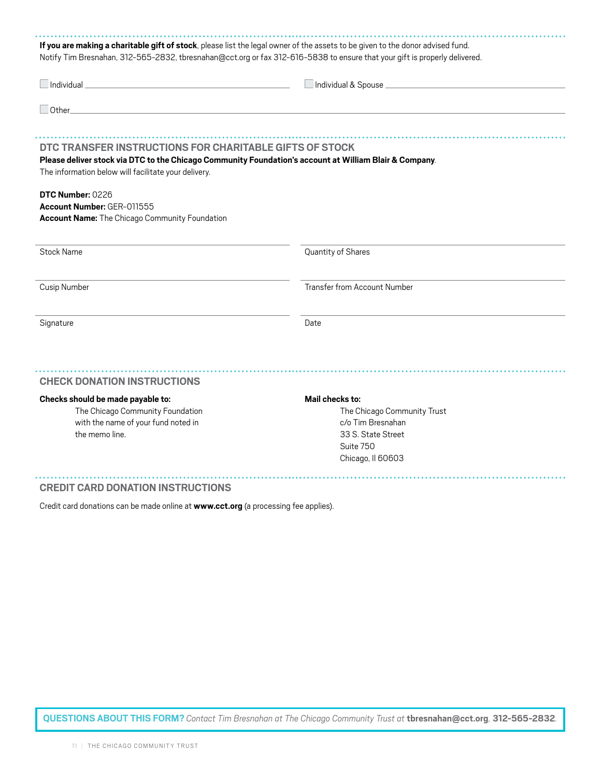| If you are making a charitable gift of stock, please list the legal owner of the assets to be given to the donor advised fund.                                                                                            | Notify Tim Bresnahan, 312-565-2832, tbresnahan@cct.org or fax 312-616-5838 to ensure that your gift is properly delivered.  |  |  |
|---------------------------------------------------------------------------------------------------------------------------------------------------------------------------------------------------------------------------|-----------------------------------------------------------------------------------------------------------------------------|--|--|
|                                                                                                                                                                                                                           | $\Box$ Individual & Spouse $\_\_$                                                                                           |  |  |
| $\Box$ Other $\_$                                                                                                                                                                                                         |                                                                                                                             |  |  |
| DTC TRANSFER INSTRUCTIONS FOR CHARITABLE GIFTS OF STOCK<br>Please deliver stock via DTC to the Chicago Community Foundation's account at William Blair & Company.<br>The information below will facilitate your delivery. |                                                                                                                             |  |  |
| DTC Number: 0226<br>Account Number: GER-011555<br>Account Name: The Chicago Community Foundation                                                                                                                          |                                                                                                                             |  |  |
| Stock Name                                                                                                                                                                                                                | Quantity of Shares                                                                                                          |  |  |
| Cusip Number                                                                                                                                                                                                              | Transfer from Account Number                                                                                                |  |  |
| Signature                                                                                                                                                                                                                 | Date                                                                                                                        |  |  |
| <b>CHECK DONATION INSTRUCTIONS</b>                                                                                                                                                                                        |                                                                                                                             |  |  |
| Checks should be made payable to:<br>The Chicago Community Foundation<br>with the name of your fund noted in<br>the memo line.                                                                                            | Mail checks to:<br>The Chicago Community Trust<br>c/o Tim Bresnahan<br>33 S. State Street<br>Suite 750<br>Chicago, Il 60603 |  |  |
| <b>CREDIT CARD DONATION INSTRUCTIONS</b>                                                                                                                                                                                  |                                                                                                                             |  |  |

Credit card donations can be made online at **www.cct.org** (a processing fee applies).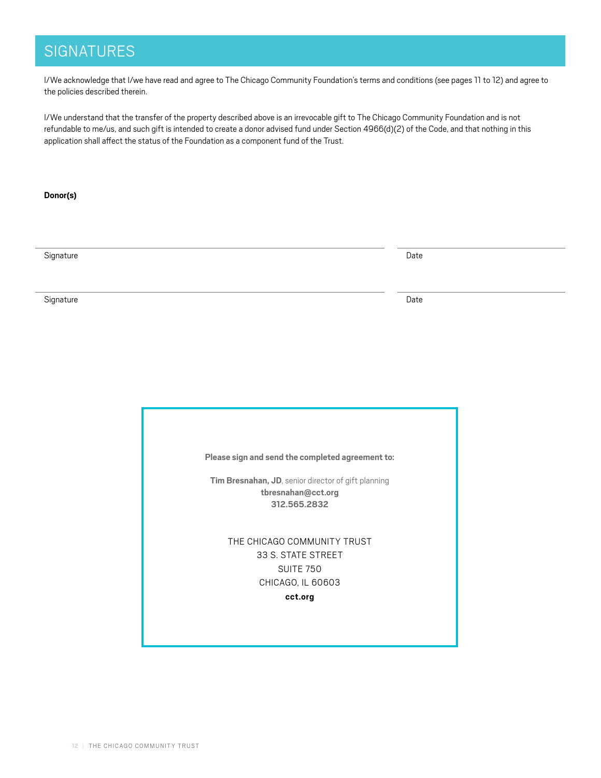# **SIGNATURES**

I/We acknowledge that I/we have read and agree to The Chicago Community Foundation's terms and conditions (see pages 11 to 12) and agree to the policies described therein.

I/We understand that the transfer of the property described above is an irrevocable gift to The Chicago Community Foundation and is not refundable to me/us, and such gift is intended to create a donor advised fund under Section 4966(d)(2) of the Code, and that nothing in this application shall affect the status of the Foundation as a component fund of the Trust.

**Donor(s)**

state of the control of the control of the control of the control of the control of the control of the control of the control of the control of the control of the control of the control of the control of the control of the

state of the control of the control of the control of the control of the control of the control of the control of the control of the control of the control of the control of the control of the control of the control of the

**Please sign and send the completed agreement to: Tim Bresnahan, JD**, senior director of gift planning **[tbresnahan@cct.org](mailto:tbresnahan%40cct.org?subject=) 312.565.2832**  THE CHICAGO COMMUNITY TRUST 33 S. STATE STREET SUITE 750 CHICAGO, IL 60603 **[cct.org](http://cct.org)**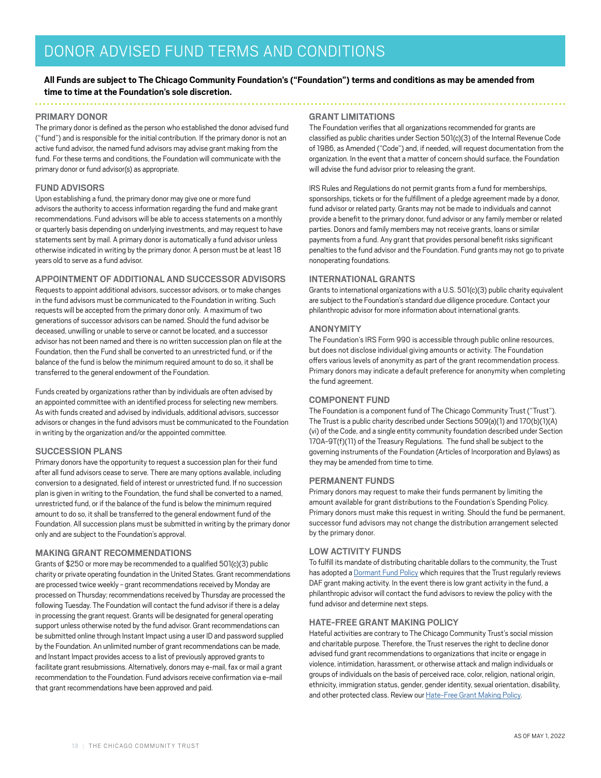# DONOR ADVISED FUND TERMS AND CONDITIONS

#### **All Funds are subject to The Chicago Community Foundation's ("Foundation") terms and conditions as may be amended from time to time at the Foundation's sole discretion.**

#### **PRIMARY DONOR**

The primary donor is defined as the person who established the donor advised fund ("fund") and is responsible for the initial contribution. If the primary donor is not an active fund advisor, the named fund advisors may advise grant making from the fund. For these terms and conditions, the Foundation will communicate with the primary donor or fund advisor(s) as appropriate.

#### **FUND ADVISORS**

Upon establishing a fund, the primary donor may give one or more fund advisors the authority to access information regarding the fund and make grant recommendations. Fund advisors will be able to access statements on a monthly or quarterly basis depending on underlying investments, and may request to have statements sent by mail. A primary donor is automatically a fund advisor unless otherwise indicated in writing by the primary donor. A person must be at least 18 years old to serve as a fund advisor.

#### **APPOINTMENT OF ADDITIONAL AND SUCCESSOR ADVISORS**

Requests to appoint additional advisors, successor advisors, or to make changes in the fund advisors must be communicated to the Foundation in writing. Such requests will be accepted from the primary donor only. A maximum of two generations of successor advisors can be named. Should the fund advisor be deceased, unwilling or unable to serve or cannot be located, and a successor advisor has not been named and there is no written succession plan on file at the Foundation, then the Fund shall be converted to an unrestricted fund, or if the balance of the fund is below the minimum required amount to do so, it shall be transferred to the general endowment of the Foundation.

Funds created by organizations rather than by individuals are often advised by an appointed committee with an identified process for selecting new members. As with funds created and advised by individuals, additional advisors, successor advisors or changes in the fund advisors must be communicated to the Foundation in writing by the organization and/or the appointed committee.

#### **SUCCESSION PLANS**

Primary donors have the opportunity to request a succession plan for their fund after all fund advisors cease to serve. There are many options available, including conversion to a designated, field of interest or unrestricted fund. If no succession plan is given in writing to the Foundation, the fund shall be converted to a named, unrestricted fund, or if the balance of the fund is below the minimum required amount to do so, it shall be transferred to the general endowment fund of the Foundation. All succession plans must be submitted in writing by the primary donor only and are subject to the Foundation's approval.

#### **MAKING GRANT RECOMMENDATIONS**

Grants of \$250 or more may be recommended to a qualified 501(c)(3) public charity or private operating foundation in the United States. Grant recommendations are processed twice weekly - grant recommendations received by Monday are processed on Thursday; recommendations received by Thursday are processed the following Tuesday. The Foundation will contact the fund advisor if there is a delay in processing the grant request. Grants will be designated for general operating support unless otherwise noted by the fund advisor. Grant recommendations can be submitted online through Instant Impact using a user ID and password supplied by the Foundation. An unlimited number of grant recommendations can be made, and Instant Impact provides access to a list of previously approved grants to facilitate grant resubmissions. Alternatively, donors may e-mail, fax or mail a grant recommendation to the Foundation. Fund advisors receive confirmation via e-mail that grant recommendations have been approved and paid.

#### **GRANT LIMITATIONS**

The Foundation verifies that all organizations recommended for grants are classified as public charities under Section 501(c)(3) of the Internal Revenue Code of 1986, as Amended ("Code") and, if needed, will request documentation from the organization. In the event that a matter of concern should surface, the Foundation will advise the fund advisor prior to releasing the grant.

IRS Rules and Regulations do not permit grants from a fund for memberships, sponsorships, tickets or for the fulfillment of a pledge agreement made by a donor, fund advisor or related party. Grants may not be made to individuals and cannot provide a benefit to the primary donor, fund advisor or any family member or related parties. Donors and family members may not receive grants, loans or similar payments from a fund. Any grant that provides personal benefit risks significant penalties to the fund advisor and the Foundation. Fund grants may not go to private nonoperating foundations.

#### **INTERNATIONAL GRANTS**

Grants to international organizations with a U.S. 501(c)(3) public charity equivalent are subject to the Foundation's standard due diligence procedure. Contact your philanthropic advisor for more information about international grants.

#### **ANONYMITY**

The Foundation's IRS Form 990 is accessible through public online resources, but does not disclose individual giving amounts or activity. The Foundation offers various levels of anonymity as part of the grant recommendation process. Primary donors may indicate a default preference for anonymity when completing the fund agreement.

#### **COMPONENT FUND**

The Foundation is a component fund of The Chicago Community Trust ("Trust"). The Trust is a public charity described under Sections 509(a)(1) and 170(b)(1)(A) (vi) of the Code, and a single entity community foundation described under Section 170A-9T(f)(11) of the Treasury Regulations. The fund shall be subject to the governing instruments of the Foundation (Articles of Incorporation and Bylaws) as they may be amended from time to time.

#### **PERMANENT FUNDS**

Primary donors may request to make their funds permanent by limiting the amount available for grant distributions to the Foundation's Spending Policy. Primary donors must make this request in writing. Should the fund be permanent, successor fund advisors may not change the distribution arrangement selected by the primary donor.

#### **LOW ACTIVITY FUNDS**

To fulfill its mandate of distributing charitable dollars to the community, the Trust has adopted a [Dormant Fund Policy](https://www.cct.org/philanthropy-giving/forms-resources/daf-policy/) which requires that the Trust regularly reviews DAF grant making activity. In the event there is low grant activity in the fund, a philanthropic advisor will contact the fund advisors to review the policy with the fund advisor and determine next steps.

#### **HATE-FREE GRANT MAKING POLICY**

Hateful activities are contrary to The Chicago Community Trust's social mission and charitable purpose. Therefore, the Trust reserves the right to decline donor advised fund grant recommendations to organizations that incite or engage in violence, intimidation, harassment, or otherwise attack and malign individuals or groups of individuals on the basis of perceived race, color, religion, national origin, ethnicity, immigration status, gender, gender identity, sexual orientation, disability, and other protected class. Review our [Hate-Free Grant Making Policy.](https://www.cct.org/philanthropy-giving/forms-resources/daf-policy/ )